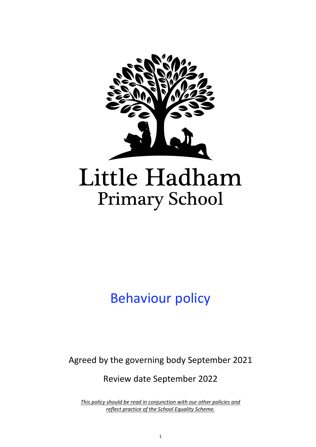

# Behaviour policy

Agreed by the governing body September 2021

Review date September 2022

*This policy should be read in conjunction with our other policies and reflect practice of the School Equality Scheme.*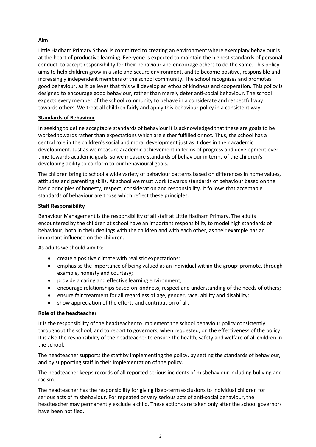## **Aim**

Little Hadham Primary School is committed to creating an environment where exemplary behaviour is at the heart of productive learning. Everyone is expected to maintain the highest standards of personal conduct, to accept responsibility for their behaviour and encourage others to do the same. This policy aims to help children grow in a safe and secure environment, and to become positive, responsible and increasingly independent members of the school community. The school recognises and promotes good behaviour, as it believes that this will develop an ethos of kindness and cooperation. This policy is designed to encourage good behaviour, rather than merely deter anti-social behaviour. The school expects every member of the school community to behave in a considerate and respectful way towards others. We treat all children fairly and apply this behaviour policy in a consistent way.

## **Standards of Behaviour**

In seeking to define acceptable standards of behaviour it is acknowledged that these are goals to be worked towards rather than expectations which are either fulfilled or not. Thus, the school has a central role in the children's social and moral development just as it does in their academic development. Just as we measure academic achievement in terms of progress and development over time towards academic goals, so we measure standards of behaviour in terms of the children's developing ability to conform to our behavioural goals.

The children bring to school a wide variety of behaviour patterns based on differences in home values, attitudes and parenting skills. At school we must work towards standards of behaviour based on the basic principles of honesty, respect, consideration and responsibility. It follows that acceptable standards of behaviour are those which reflect these principles.

## **Staff Responsibility**

Behaviour Management is the responsibility of **all** staff at Little Hadham Primary. The adults encountered by the children at school have an important responsibility to model high standards of behaviour, both in their dealings with the children and with each other, as their example has an important influence on the children.

As adults we should aim to:

- create a positive climate with realistic expectations;
- emphasise the importance of being valued as an individual within the group; promote, through example, honesty and courtesy;
- provide a caring and effective learning environment;
- encourage relationships based on kindness, respect and understanding of the needs of others;
- ensure fair treatment for all regardless of age, gender, race, ability and disability;
- show appreciation of the efforts and contribution of all.

## **Role of the headteacher**

It is the responsibility of the headteacher to implement the school behaviour policy consistently throughout the school, and to report to governors, when requested, on the effectiveness of the policy. It is also the responsibility of the headteacher to ensure the health, safety and welfare of all children in the school.

The headteacher supports the staff by implementing the policy, by setting the standards of behaviour, and by supporting staff in their implementation of the policy.

The headteacher keeps records of all reported serious incidents of misbehaviour including bullying and racism.

The headteacher has the responsibility for giving fixed-term exclusions to individual children for serious acts of misbehaviour. For repeated or very serious acts of anti-social behaviour, the headteacher may permanently exclude a child. These actions are taken only after the school governors have been notified.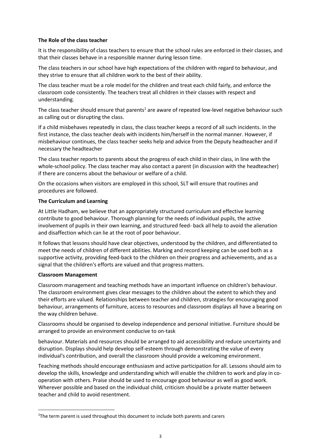## **The Role of the class teacher**

It is the responsibility of class teachers to ensure that the school rules are enforced in their classes, and that their classes behave in a responsible manner during lesson time.

The class teachers in our school have high expectations of the children with regard to behaviour, and they strive to ensure that all children work to the best of their ability.

The class teacher must be a role model for the children and treat each child fairly, and enforce the classroom code consistently. The teachers treat all children in their classes with respect and understanding.

The class teacher should ensure that parents<sup>1</sup> are aware of repeated low-level negative behaviour such as calling out or disrupting the class.

If a child misbehaves repeatedly in class, the class teacher keeps a record of all such incidents. In the first instance, the class teacher deals with incidents him/herself in the normal manner. However, if misbehaviour continues, the class teacher seeks help and advice from the Deputy headteacher and if necessary the headteacher

The class teacher reports to parents about the progress of each child in their class, in line with the whole-school policy. The class teacher may also contact a parent (in discussion with the headteacher) if there are concerns about the behaviour or welfare of a child.

On the occasions when visitors are employed in this school, SLT will ensure that routines and procedures are followed.

## **The Curriculum and Learning**

At Little Hadham, we believe that an appropriately structured curriculum and effective learning contribute to good behaviour. Thorough planning for the needs of individual pupils, the active involvement of pupils in their own learning, and structured feed- back all help to avoid the alienation and disaffection which can lie at the root of poor behaviour.

It follows that lessons should have clear objectives, understood by the children, and differentiated to meet the needs of children of different abilities. Marking and record keeping can be used both as a supportive activity, providing feed-back to the children on their progress and achievements, and as a signal that the children's efforts are valued and that progress matters.

## **Classroom Management**

1

Classroom management and teaching methods have an important influence on children's behaviour. The classroom environment gives clear messages to the children about the extent to which they and their efforts are valued. Relationships between teacher and children, strategies for encouraging good behaviour, arrangements of furniture, access to resources and classroom displays all have a bearing on the way children behave.

Classrooms should be organised to develop independence and personal initiative. Furniture should be arranged to provide an environment conducive to on-task

behaviour. Materials and resources should be arranged to aid accessibility and reduce uncertainty and disruption. Displays should help develop self-esteem through demonstrating the value of every individual's contribution, and overall the classroom should provide a welcoming environment.

Teaching methods should encourage enthusiasm and active participation for all. Lessons should aim to develop the skills, knowledge and understanding which will enable the children to work and play in cooperation with others. Praise should be used to encourage good behaviour as well as good work. Wherever possible and based on the individual child, criticism should be a private matter between teacher and child to avoid resentment.

<sup>&</sup>lt;sup>1</sup>The term parent is used throughout this document to include both parents and carers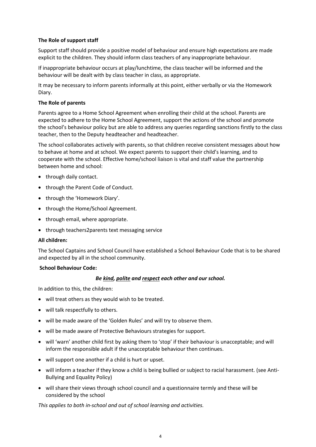## **The Role of support staff**

Support staff should provide a positive model of behaviour and ensure high expectations are made explicit to the children. They should inform class teachers of any inappropriate behaviour.

If inappropriate behaviour occurs at play/lunchtime, the class teacher will be informed and the behaviour will be dealt with by class teacher in class, as appropriate.

It may be necessary to inform parents informally at this point, either verbally or via the Homework Diary.

## **The Role of parents**

Parents agree to a Home School Agreement when enrolling their child at the school. Parents are expected to adhere to the Home School Agreement, support the actions of the school and promote the school's behaviour policy but are able to address any queries regarding sanctions firstly to the class teacher, then to the Deputy headteacher and headteacher.

The school collaborates actively with parents, so that children receive consistent messages about how to behave at home and at school. We expect parents to support their child's learning, and to cooperate with the school. Effective home/school liaison is vital and staff value the partnership between home and school:

- through daily contact.
- through the Parent Code of Conduct.
- through the 'Homework Diary'.
- through the Home/School Agreement.
- through email, where appropriate.
- through teachers2parents text messaging service

## **All children:**

The School Captains and School Council have established a School Behaviour Code that is to be shared and expected by all in the school community.

## **School Behaviour Code:**

## *Be kind, polite and respect each other and our school.*

In addition to this, the children:

- will treat others as they would wish to be treated.
- will talk respectfully to others.
- will be made aware of the 'Golden Rules' and will try to observe them.
- will be made aware of Protective Behaviours strategies for support.
- will 'warn' another child first by asking them to 'stop' if their behaviour is unacceptable; and will inform the responsible adult if the unacceptable behaviour then continues.
- will support one another if a child is hurt or upset.
- will inform a teacher if they know a child is being bullied or subject to racial harassment. (see Anti-Bullying and Equality Policy)
- will share their views through school council and a questionnaire termly and these will be considered by the school

*This applies to both in-school and out of school learning and activities.*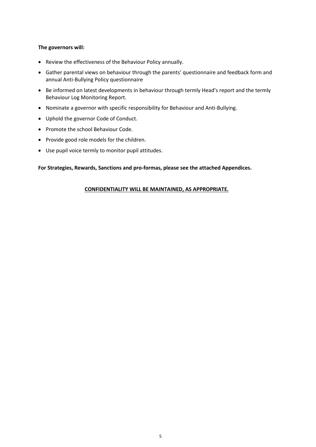## **The governors will:**

- Review the effectiveness of the Behaviour Policy annually.
- Gather parental views on behaviour through the parents' questionnaire and feedback form and annual Anti-Bullying Policy questionnaire
- Be informed on latest developments in behaviour through termly Head's report and the termly Behaviour Log Monitoring Report.
- Nominate a governor with specific responsibility for Behaviour and Anti-Bullying.
- Uphold the governor Code of Conduct.
- Promote the school Behaviour Code.
- Provide good role models for the children.
- Use pupil voice termly to monitor pupil attitudes.

**For Strategies, Rewards, Sanctions and pro-formas, please see the attached Appendices.**

## **CONFIDENTIALITY WILL BE MAINTAINED, AS APPROPRIATE.**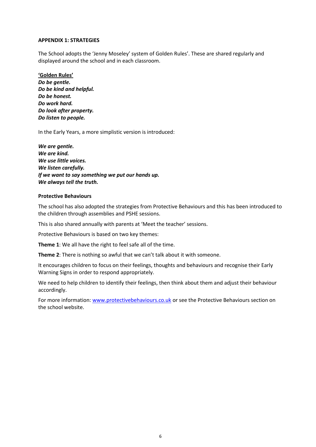#### **APPENDIX 1: STRATEGIES**

The School adopts the 'Jenny Moseley' system of Golden Rules'. These are shared regularly and displayed around the school and in each classroom.

#### **'Golden Rules'**

*Do be gentle. Do be kind and helpful. Do be honest. Do work hard. Do look after property. Do listen to people.*

In the Early Years, a more simplistic version is introduced:

*We are gentle. We are kind. We use little voices. We listen carefully. If we want to say something we put our hands up. We always tell the truth.*

#### **Protective Behaviours**

The school has also adopted the strategies from Protective Behaviours and this has been introduced to the children through assemblies and PSHE sessions.

This is also shared annually with parents at 'Meet the teacher' sessions.

Protective Behaviours is based on two key themes:

**Theme 1**: We all have the right to feel safe all of the time.

**Theme 2**: There is nothing so awful that we can't talk about it with someone.

It encourages children to focus on their feelings, thoughts and behaviours and recognise their Early Warning Signs in order to respond appropriately.

We need to help children to identify their feelings, then think about them and adjust their behaviour accordingly.

For more information: [www.protectivebehaviours.co.uk](http://www.protectivebehaviours.co.uk/) or see the Protective Behaviours section on the school website.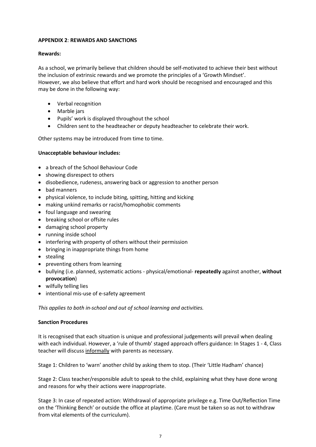## **APPENDIX 2**: **REWARDS AND SANCTIONS**

## **Rewards:**

As a school, we primarily believe that children should be self-motivated to achieve their best without the inclusion of extrinsic rewards and we promote the principles of a 'Growth Mindset'. However, we also believe that effort and hard work should be recognised and encouraged and this may be done in the following way:

- Verbal recognition
- Marble jars
- Pupils' work is displayed throughout the school
- Children sent to the headteacher or deputy headteacher to celebrate their work.

Other systems may be introduced from time to time.

## **Unacceptable behaviour includes:**

- a breach of the School Behaviour Code
- showing disrespect to others
- disobedience, rudeness, answering back or aggression to another person
- bad manners
- physical violence, to include biting, spitting, hitting and kicking
- making unkind remarks or racist/homophobic comments
- foul language and swearing
- breaking school or offsite rules
- damaging school property
- running inside school
- interfering with property of others without their permission
- bringing in inappropriate things from home
- stealing
- preventing others from learning
- bullying (i.e. planned, systematic actions physical/emotional- **repeatedly** against another, **without provocation**)
- wilfully telling lies
- intentional mis-use of e-safety agreement

*This applies to both in-school and out of school learning and activities.*

## **Sanction Procedures**

It is recognised that each situation is unique and professional judgements will prevail when dealing with each individual. However, a 'rule of thumb' staged approach offers guidance: In Stages 1 - 4, Class teacher will discuss informally with parents as necessary.

Stage 1: Children to 'warn' another child by asking them to stop. (Their 'Little Hadham' chance)

Stage 2: Class teacher/responsible adult to speak to the child, explaining what they have done wrong and reasons for why their actions were inappropriate.

Stage 3: In case of repeated action: Withdrawal of appropriate privilege e.g. Time Out/Reflection Time on the 'Thinking Bench' or outside the office at playtime. (Care must be taken so as not to withdraw from vital elements of the curriculum).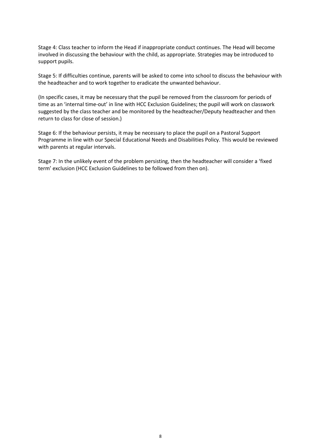Stage 4: Class teacher to inform the Head if inappropriate conduct continues. The Head will become involved in discussing the behaviour with the child, as appropriate. Strategies may be introduced to support pupils.

Stage 5: If difficulties continue, parents will be asked to come into school to discuss the behaviour with the headteacher and to work together to eradicate the unwanted behaviour.

(In specific cases, it may be necessary that the pupil be removed from the classroom for periods of time as an 'internal time-out' in line with HCC Exclusion Guidelines; the pupil will work on classwork suggested by the class teacher and be monitored by the headteacher/Deputy headteacher and then return to class for close of session.)

Stage 6: If the behaviour persists, it may be necessary to place the pupil on a Pastoral Support Programme in line with our Special Educational Needs and Disabilities Policy. This would be reviewed with parents at regular intervals.

Stage 7: In the unlikely event of the problem persisting, then the headteacher will consider a 'fixed term' exclusion (HCC Exclusion Guidelines to be followed from then on).